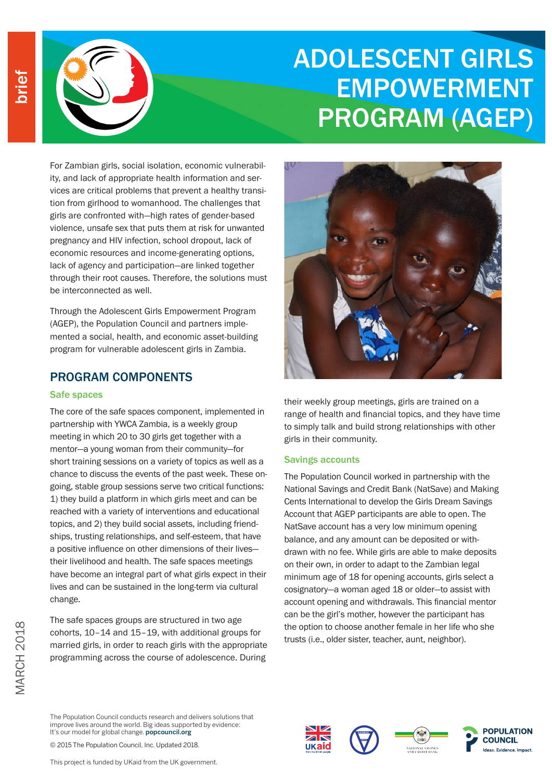

# ADOLESCENT GIRLS EMPOWERMENT PROGRAM (AGEP)

For Zambian girls, social isolation, economic vulnerability, and lack of appropriate health information and services are critical problems that prevent a healthy transition from girlhood to womanhood. The challenges that girls are confronted with—high rates of gender-based violence, unsafe sex that puts them at risk for unwanted pregnancy and HIV infection, school dropout, lack of economic resources and income-generating options, lack of agency and participation—are linked together through their root causes. Therefore, the solutions must be interconnected as well.

Through the Adolescent Girls Empowerment Program (AGEP), the Population Council and partners implemented a social, health, and economic asset-building program for vulnerable adolescent girls in Zambia.

## PROGRAM COMPONENTS

#### Safe spaces

MARCH 2018

**MARCH 2018** 

The core of the safe spaces component, implemented in partnership with YWCA Zambia, is a weekly group meeting in which 20 to 30 girls get together with a mentor—a young woman from their community—for short training sessions on a variety of topics as well as a chance to discuss the events of the past week. These ongoing, stable group sessions serve two critical functions: 1) they build a platform in which girls meet and can be reached with a variety of interventions and educational topics, and 2) they build social assets, including friendships, trusting relationships, and self-esteem, that have a positive influence on other dimensions of their lives their livelihood and health. The safe spaces meetings have become an integral part of what girls expect in their lives and can be sustained in the long-term via cultural change.

The safe spaces groups are structured in two age cohorts, 10–14 and 15–19, with additional groups for married girls, in order to reach girls with the appropriate programming across the course of adolescence. During



their weekly group meetings, girls are trained on a range of health and financial topics, and they have time to simply talk and build strong relationships with other girls in their community.

#### Savings accounts

The Population Council worked in partnership with the National Savings and Credit Bank (NatSave) and Making Cents International to develop the Girls Dream Savings Account that AGEP participants are able to open. The NatSave account has a very low minimum opening balance, and any amount can be deposited or withdrawn with no fee. While girls are able to make deposits on their own, in order to adapt to the Zambian legal minimum age of 18 for opening accounts, girls select a cosignatory—a woman aged 18 or older—to assist with account opening and withdrawals. This financial mentor can be the girl's mother, however the participant has the option to choose another female in her life who she trusts (i.e., older sister, teacher, aunt, neighbor).

The Population Council conducts research and delivers solutions that improve lives around the world. Big ideas supported by evidence: It's our model for global change. popcouncil.org

© 2015 The Population Council, Inc. Updated 2018.